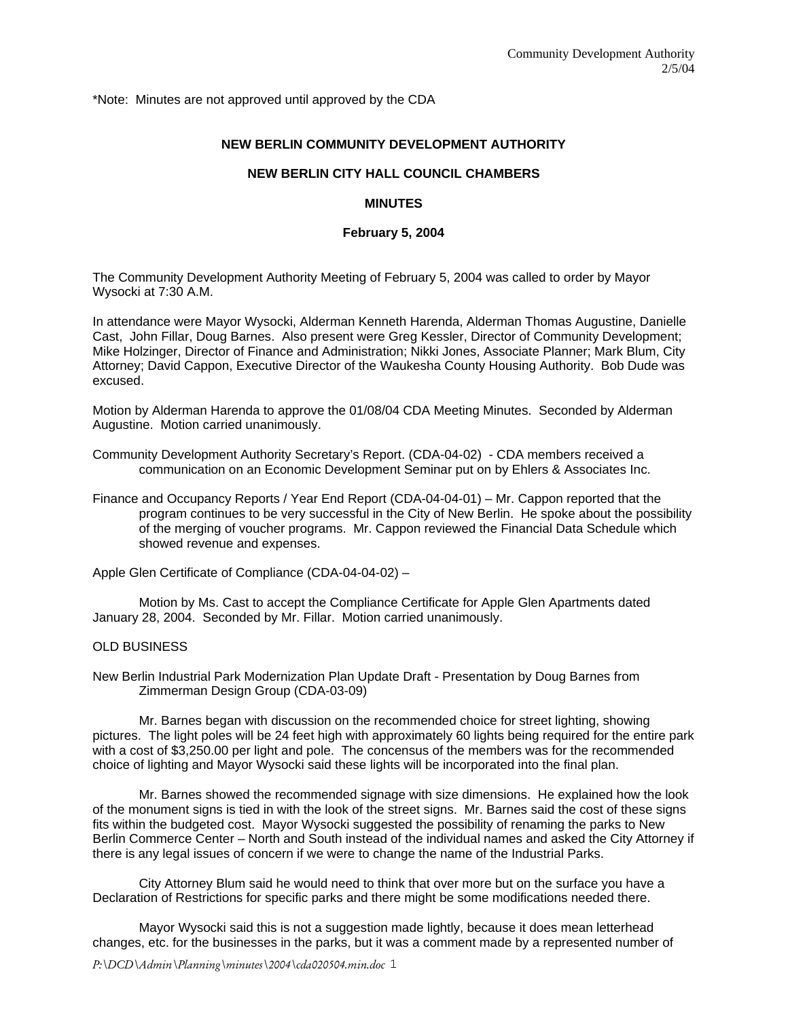\*Note: Minutes are not approved until approved by the CDA

# **NEW BERLIN COMMUNITY DEVELOPMENT AUTHORITY**

## **NEW BERLIN CITY HALL COUNCIL CHAMBERS**

### **MINUTES**

### **February 5, 2004**

The Community Development Authority Meeting of February 5, 2004 was called to order by Mayor Wysocki at 7:30 A.M.

In attendance were Mayor Wysocki, Alderman Kenneth Harenda, Alderman Thomas Augustine, Danielle Cast, John Fillar, Doug Barnes. Also present were Greg Kessler, Director of Community Development; Mike Holzinger, Director of Finance and Administration; Nikki Jones, Associate Planner; Mark Blum, City Attorney; David Cappon, Executive Director of the Waukesha County Housing Authority. Bob Dude was excused.

Motion by Alderman Harenda to approve the 01/08/04 CDA Meeting Minutes. Seconded by Alderman Augustine. Motion carried unanimously.

- Community Development Authority Secretary's Report. (CDA-04-02) CDA members received a communication on an Economic Development Seminar put on by Ehlers & Associates Inc.
- Finance and Occupancy Reports / Year End Report (CDA-04-04-01) Mr. Cappon reported that the program continues to be very successful in the City of New Berlin. He spoke about the possibility of the merging of voucher programs. Mr. Cappon reviewed the Financial Data Schedule which showed revenue and expenses.

Apple Glen Certificate of Compliance (CDA-04-04-02) –

 Motion by Ms. Cast to accept the Compliance Certificate for Apple Glen Apartments dated January 28, 2004. Seconded by Mr. Fillar. Motion carried unanimously.

### OLD BUSINESS

New Berlin Industrial Park Modernization Plan Update Draft - Presentation by Doug Barnes from Zimmerman Design Group (CDA-03-09)

 Mr. Barnes began with discussion on the recommended choice for street lighting, showing pictures. The light poles will be 24 feet high with approximately 60 lights being required for the entire park with a cost of \$3,250.00 per light and pole. The concensus of the members was for the recommended choice of lighting and Mayor Wysocki said these lights will be incorporated into the final plan.

 Mr. Barnes showed the recommended signage with size dimensions. He explained how the look of the monument signs is tied in with the look of the street signs. Mr. Barnes said the cost of these signs fits within the budgeted cost. Mayor Wysocki suggested the possibility of renaming the parks to New Berlin Commerce Center – North and South instead of the individual names and asked the City Attorney if there is any legal issues of concern if we were to change the name of the Industrial Parks.

 City Attorney Blum said he would need to think that over more but on the surface you have a Declaration of Restrictions for specific parks and there might be some modifications needed there.

 Mayor Wysocki said this is not a suggestion made lightly, because it does mean letterhead changes, etc. for the businesses in the parks, but it was a comment made by a represented number of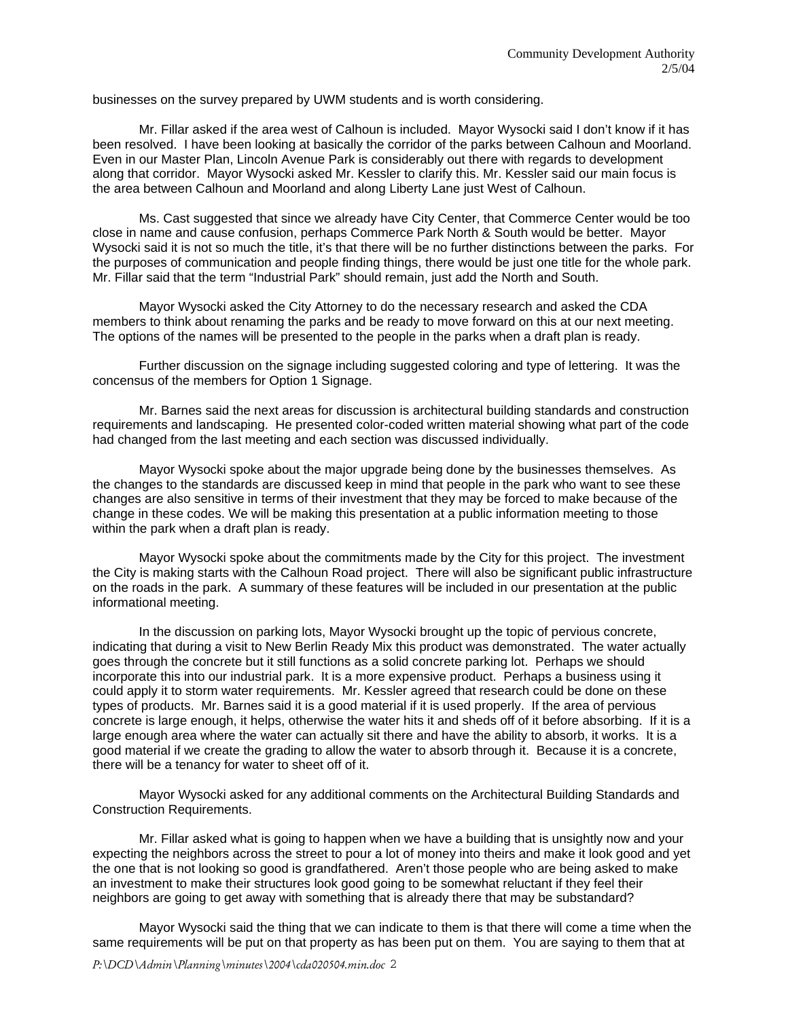businesses on the survey prepared by UWM students and is worth considering.

 Mr. Fillar asked if the area west of Calhoun is included. Mayor Wysocki said I don't know if it has been resolved. I have been looking at basically the corridor of the parks between Calhoun and Moorland. Even in our Master Plan, Lincoln Avenue Park is considerably out there with regards to development along that corridor. Mayor Wysocki asked Mr. Kessler to clarify this. Mr. Kessler said our main focus is the area between Calhoun and Moorland and along Liberty Lane just West of Calhoun.

 Ms. Cast suggested that since we already have City Center, that Commerce Center would be too close in name and cause confusion, perhaps Commerce Park North & South would be better. Mayor Wysocki said it is not so much the title, it's that there will be no further distinctions between the parks. For the purposes of communication and people finding things, there would be just one title for the whole park. Mr. Fillar said that the term "Industrial Park" should remain, just add the North and South.

Mayor Wysocki asked the City Attorney to do the necessary research and asked the CDA members to think about renaming the parks and be ready to move forward on this at our next meeting. The options of the names will be presented to the people in the parks when a draft plan is ready.

 Further discussion on the signage including suggested coloring and type of lettering. It was the concensus of the members for Option 1 Signage.

 Mr. Barnes said the next areas for discussion is architectural building standards and construction requirements and landscaping. He presented color-coded written material showing what part of the code had changed from the last meeting and each section was discussed individually.

 Mayor Wysocki spoke about the major upgrade being done by the businesses themselves. As the changes to the standards are discussed keep in mind that people in the park who want to see these changes are also sensitive in terms of their investment that they may be forced to make because of the change in these codes. We will be making this presentation at a public information meeting to those within the park when a draft plan is ready.

 Mayor Wysocki spoke about the commitments made by the City for this project. The investment the City is making starts with the Calhoun Road project. There will also be significant public infrastructure on the roads in the park. A summary of these features will be included in our presentation at the public informational meeting.

 In the discussion on parking lots, Mayor Wysocki brought up the topic of pervious concrete, indicating that during a visit to New Berlin Ready Mix this product was demonstrated. The water actually goes through the concrete but it still functions as a solid concrete parking lot. Perhaps we should incorporate this into our industrial park. It is a more expensive product. Perhaps a business using it could apply it to storm water requirements. Mr. Kessler agreed that research could be done on these types of products. Mr. Barnes said it is a good material if it is used properly. If the area of pervious concrete is large enough, it helps, otherwise the water hits it and sheds off of it before absorbing. If it is a large enough area where the water can actually sit there and have the ability to absorb, it works. It is a good material if we create the grading to allow the water to absorb through it. Because it is a concrete, there will be a tenancy for water to sheet off of it.

 Mayor Wysocki asked for any additional comments on the Architectural Building Standards and Construction Requirements.

 Mr. Fillar asked what is going to happen when we have a building that is unsightly now and your expecting the neighbors across the street to pour a lot of money into theirs and make it look good and yet the one that is not looking so good is grandfathered. Aren't those people who are being asked to make an investment to make their structures look good going to be somewhat reluctant if they feel their neighbors are going to get away with something that is already there that may be substandard?

 Mayor Wysocki said the thing that we can indicate to them is that there will come a time when the same requirements will be put on that property as has been put on them. You are saying to them that at